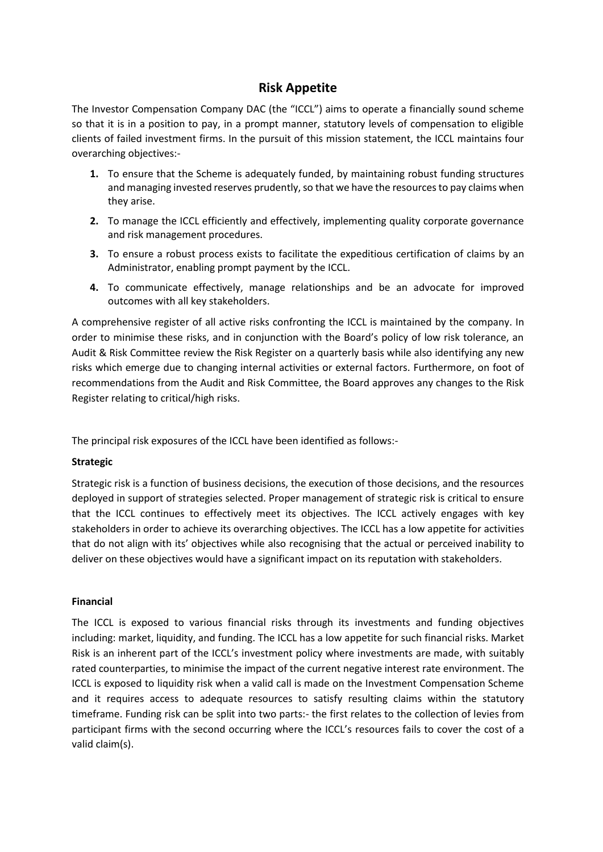## **Risk Appetite**

The Investor Compensation Company DAC (the "ICCL") aims to operate a financially sound scheme so that it is in a position to pay, in a prompt manner, statutory levels of compensation to eligible clients of failed investment firms. In the pursuit of this mission statement, the ICCL maintains four overarching objectives:-

- **1.** To ensure that the Scheme is adequately funded, by maintaining robust funding structures and managing invested reserves prudently, so that we have the resources to pay claims when they arise.
- **2.** To manage the ICCL efficiently and effectively, implementing quality corporate governance and risk management procedures.
- **3.** To ensure a robust process exists to facilitate the expeditious certification of claims by an Administrator, enabling prompt payment by the ICCL.
- **4.** To communicate effectively, manage relationships and be an advocate for improved outcomes with all key stakeholders.

A comprehensive register of all active risks confronting the ICCL is maintained by the company. In order to minimise these risks, and in conjunction with the Board's policy of low risk tolerance, an Audit & Risk Committee review the Risk Register on a quarterly basis while also identifying any new risks which emerge due to changing internal activities or external factors. Furthermore, on foot of recommendations from the Audit and Risk Committee, the Board approves any changes to the Risk Register relating to critical/high risks.

The principal risk exposures of the ICCL have been identified as follows:-

## **Strategic**

Strategic risk is a function of business decisions, the execution of those decisions, and the resources deployed in support of strategies selected. Proper management of strategic risk is critical to ensure that the ICCL continues to effectively meet its objectives. The ICCL actively engages with key stakeholders in order to achieve its overarching objectives. The ICCL has a low appetite for activities that do not align with its' objectives while also recognising that the actual or perceived inability to deliver on these objectives would have a significant impact on its reputation with stakeholders.

## **Financial**

The ICCL is exposed to various financial risks through its investments and funding objectives including: market, liquidity, and funding. The ICCL has a low appetite for such financial risks. Market Risk is an inherent part of the ICCL's investment policy where investments are made, with suitably rated counterparties, to minimise the impact of the current negative interest rate environment. The ICCL is exposed to liquidity risk when a valid call is made on the Investment Compensation Scheme and it requires access to adequate resources to satisfy resulting claims within the statutory timeframe. Funding risk can be split into two parts:- the first relates to the collection of levies from participant firms with the second occurring where the ICCL's resources fails to cover the cost of a valid claim(s).